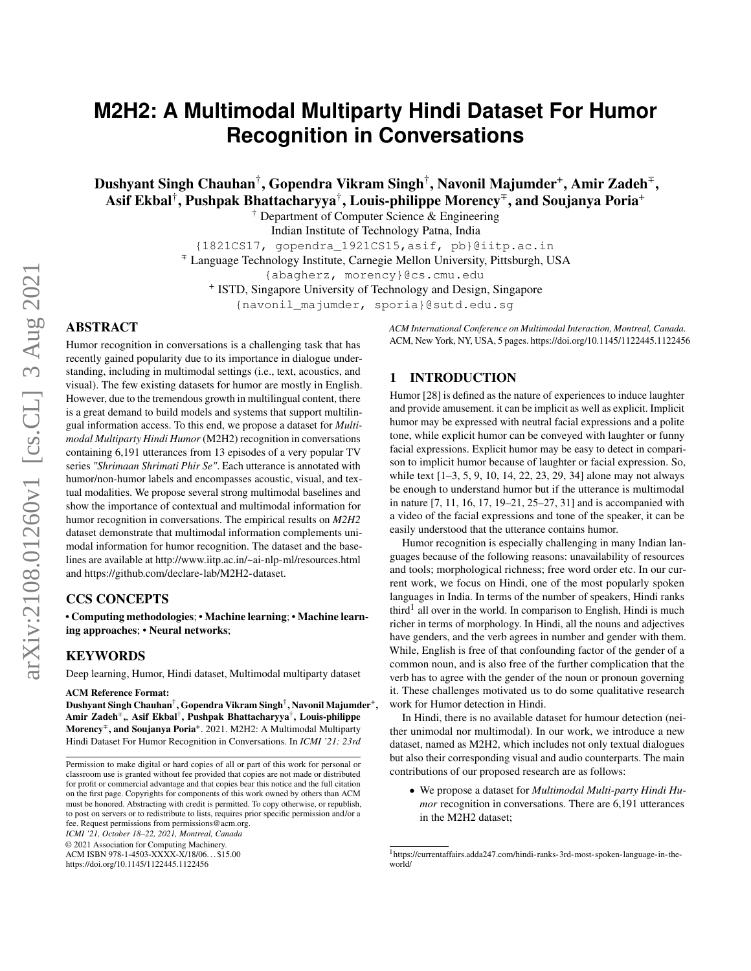# **M2H2: A Multimodal Multiparty Hindi Dataset For Humor Recognition in Conversations**

 ${\bf Dushyant~Singh~Chauhan}^\dagger, {\bf Gopendra~Vikram~Singh}^\dagger, {\bf Navonil~Majumder}^+,{\bf Amir~Zadeh}^\mp,$ Asif Ekbal† , Pushpak Bhattacharyya† , Louis-philippe Morency<sup>∓</sup> , and Soujanya Poria<sup>+</sup>

† Department of Computer Science & Engineering

Indian Institute of Technology Patna, India

{1821CS17, gopendra\_1921CS15,asif, pb}@iitp.ac.in

<sup>∓</sup> Language Technology Institute, Carnegie Mellon University, Pittsburgh, USA

{abagherz, morency}@cs.cmu.edu

+ ISTD, Singapore University of Technology and Design, Singapore

{navonil\_majumder, sporia}@sutd.edu.sg

# ABSTRACT

Humor recognition in conversations is a challenging task that has recently gained popularity due to its importance in dialogue understanding, including in multimodal settings (i.e., text, acoustics, and visual). The few existing datasets for humor are mostly in English. However, due to the tremendous growth in multilingual content, there is a great demand to build models and systems that support multilingual information access. To this end, we propose a dataset for *Multimodal Multiparty Hindi Humor* (M2H2) recognition in conversations containing 6,191 utterances from 13 episodes of a very popular TV series *"Shrimaan Shrimati Phir Se"*. Each utterance is annotated with humor/non-humor labels and encompasses acoustic, visual, and textual modalities. We propose several strong multimodal baselines and show the importance of contextual and multimodal information for humor recognition in conversations. The empirical results on *M2H2* dataset demonstrate that multimodal information complements unimodal information for humor recognition. The dataset and the baselines are available at<http://www.iitp.ac.in/~ai-nlp-ml/resources.html> and [https://github.com/declare-lab/M2H2-dataset.](https://github.com/declare-lab/M2H2-dataset)

# CCS CONCEPTS

• Computing methodologies; • Machine learning; • Machine learning approaches; • Neural networks;

### KEYWORDS

Deep learning, Humor, Hindi dataset, Multimodal multiparty dataset

#### ACM Reference Format:

Dushyant Singh Chauhan†, Gopendra Vikram Singh<sup>†</sup>, Navonil Majumder<sup>+</sup>, Amir Zadeh∓,, Asif Ekbal† , Pushpak Bhattacharyya† , Louis-philippe Morency<sup>∓</sup>, and Soujanya Poria<sup>+</sup>. 2021. M2H2: A Multimodal Multiparty Hindi Dataset For Humor Recognition in Conversations. In *ICMI '21: 23rd*

*ICMI '21, October 18–22, 2021, Montreal, Canada*

© 2021 Association for Computing Machinery.

ACM ISBN 978-1-4503-XXXX-X/18/06. . . \$15.00

<https://doi.org/10.1145/1122445.1122456>

*ACM International Conference on Multimodal Interaction, Montreal, Canada.* ACM, New York, NY, USA, [5](#page-4-0) pages.<https://doi.org/10.1145/1122445.1122456>

# 1 INTRODUCTION

Humor [\[28\]](#page-4-1) is defined as the nature of experiences to induce laughter and provide amusement. it can be implicit as well as explicit. Implicit humor may be expressed with neutral facial expressions and a polite tone, while explicit humor can be conveyed with laughter or funny facial expressions. Explicit humor may be easy to detect in comparison to implicit humor because of laughter or facial expression. So, while text [\[1](#page-4-2)[–3,](#page-4-3) [5,](#page-4-4) [9,](#page-4-5) [10,](#page-4-6) [14,](#page-4-7) [22,](#page-4-8) [23,](#page-4-9) [29,](#page-4-10) [34\]](#page-4-11) alone may not always be enough to understand humor but if the utterance is multimodal in nature [\[7,](#page-4-12) [11,](#page-4-13) [16,](#page-4-14) [17,](#page-4-15) [19–](#page-4-16)[21,](#page-4-17) [25](#page-4-18)[–27,](#page-4-19) [31\]](#page-4-20) and is accompanied with a video of the facial expressions and tone of the speaker, it can be easily understood that the utterance contains humor.

Humor recognition is especially challenging in many Indian languages because of the following reasons: unavailability of resources and tools; morphological richness; free word order etc. In our current work, we focus on Hindi, one of the most popularly spoken languages in India. In terms of the number of speakers, Hindi ranks third<sup>[1](#page-0-0)</sup> all over in the world. In comparison to English, Hindi is much richer in terms of morphology. In Hindi, all the nouns and adjectives have genders, and the verb agrees in number and gender with them. While, English is free of that confounding factor of the gender of a common noun, and is also free of the further complication that the verb has to agree with the gender of the noun or pronoun governing it. These challenges motivated us to do some qualitative research work for Humor detection in Hindi.

In Hindi, there is no available dataset for humour detection (neither unimodal nor multimodal). In our work, we introduce a new dataset, named as M2H2, which includes not only textual dialogues but also their corresponding visual and audio counterparts. The main contributions of our proposed research are as follows:

• We propose a dataset for *Multimodal Multi-party Hindi Humor* recognition in conversations. There are 6,191 utterances in the M2H2 dataset;

Permission to make digital or hard copies of all or part of this work for personal or classroom use is granted without fee provided that copies are not made or distributed for profit or commercial advantage and that copies bear this notice and the full citation on the first page. Copyrights for components of this work owned by others than ACM must be honored. Abstracting with credit is permitted. To copy otherwise, or republish, to post on servers or to redistribute to lists, requires prior specific permission and/or a fee. Request permissions from permissions@acm.org.

<span id="page-0-0"></span><sup>1</sup> [https://currentaffairs.adda247.com/hindi-ranks-3rd-most-spoken-language-in-the](https://currentaffairs.adda247.com/hindi-ranks-3rd-most-spoken-language-in-the-world/)[world/](https://currentaffairs.adda247.com/hindi-ranks-3rd-most-spoken-language-in-the-world/)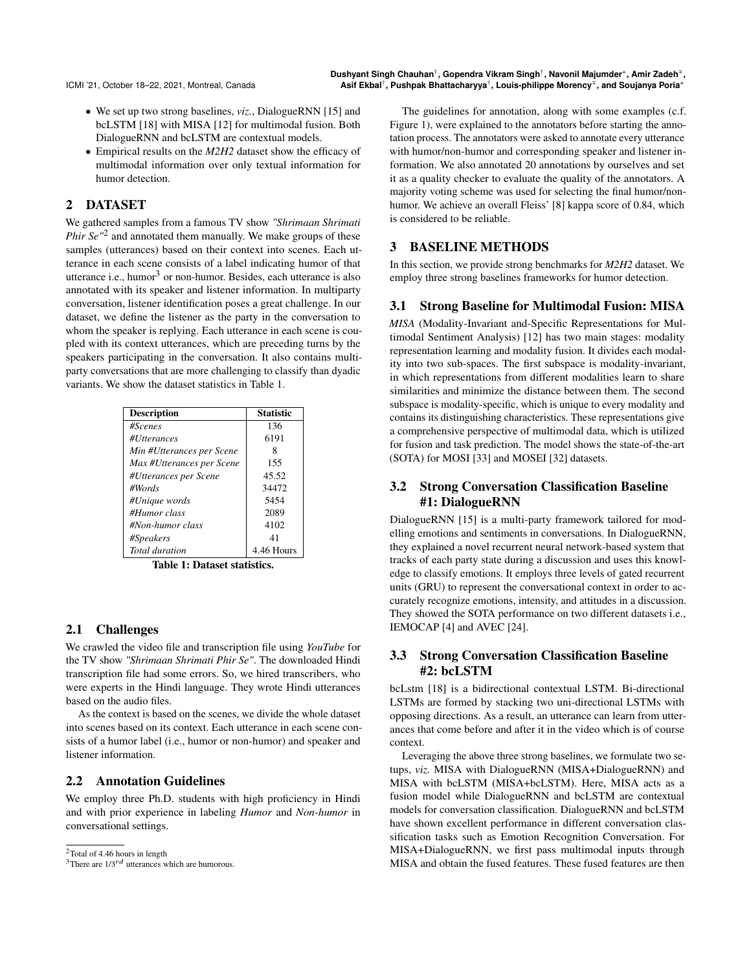- We set up two strong baselines, *viz.*, DialogueRNN [\[15\]](#page-4-21) and bcLSTM [\[18\]](#page-4-22) with MISA [\[12\]](#page-4-23) for multimodal fusion. Both DialogueRNN and bcLSTM are contextual models.
- Empirical results on the *M2H2* dataset show the efficacy of multimodal information over only textual information for humor detection.

# 2 DATASET

We gathered samples from a famous TV show *"Shrimaan Shrimati* Phir Se<sup>"[2](#page-1-0)</sup> and annotated them manually. We make groups of these samples (utterances) based on their context into scenes. Each utterance in each scene consists of a label indicating humor of that utterance i.e., humor $3$  or non-humor. Besides, each utterance is also annotated with its speaker and listener information. In multiparty conversation, listener identification poses a great challenge. In our dataset, we define the listener as the party in the conversation to whom the speaker is replying. Each utterance in each scene is coupled with its context utterances, which are preceding turns by the speakers participating in the conversation. It also contains multiparty conversations that are more challenging to classify than dyadic variants. We show the dataset statistics in Table [1.](#page-1-2)

<span id="page-1-2"></span>

| <b>Description</b>          | <b>Statistic</b> |  |  |  |
|-----------------------------|------------------|--|--|--|
| #Scenes                     | 136              |  |  |  |
| #Utterances                 | 6191             |  |  |  |
| Min #Utterances per Scene   | 8                |  |  |  |
| Max #Utterances per Scene   | 155              |  |  |  |
| #Utterances per Scene       | 45.52            |  |  |  |
| #Words                      | 34472            |  |  |  |
| #Unique words               | 5454             |  |  |  |
| #Humor class                | 2089             |  |  |  |
| #Non-humor class            | 4102             |  |  |  |
| #Speakers                   | 41               |  |  |  |
| Total duration              | 4.46 Hours       |  |  |  |
| Takla 1. Datasat atatistisa |                  |  |  |  |

Table 1: Dataset statistics.

### 2.1 Challenges

We crawled the video file and transcription file using *YouTube* for the TV show *"Shrimaan Shrimati Phir Se"*. The downloaded Hindi transcription file had some errors. So, we hired transcribers, who were experts in the Hindi language. They wrote Hindi utterances based on the audio files.

As the context is based on the scenes, we divide the whole dataset into scenes based on its context. Each utterance in each scene consists of a humor label (i.e., humor or non-humor) and speaker and listener information.

# 2.2 Annotation Guidelines

We employ three Ph.D. students with high proficiency in Hindi and with prior experience in labeling *Humor* and *Non-humor* in conversational settings.

The guidelines for annotation, along with some examples (c.f. Figure [1\)](#page-2-0), were explained to the annotators before starting the annotation process. The annotators were asked to annotate every utterance with humor/non-humor and corresponding speaker and listener information. We also annotated 20 annotations by ourselves and set it as a quality checker to evaluate the quality of the annotators. A majority voting scheme was used for selecting the final humor/nonhumor. We achieve an overall Fleiss' [\[8\]](#page-4-24) kappa score of 0.84, which is considered to be reliable.

# 3 BASELINE METHODS

In this section, we provide strong benchmarks for *M2H2* dataset. We employ three strong baselines frameworks for humor detection.

#### 3.1 Strong Baseline for Multimodal Fusion: MISA

*MISA* (Modality-Invariant and-Specific Representations for Multimodal Sentiment Analysis) [\[12\]](#page-4-23) has two main stages: modality representation learning and modality fusion. It divides each modality into two sub-spaces. The first subspace is modality-invariant, in which representations from different modalities learn to share similarities and minimize the distance between them. The second subspace is modality-specific, which is unique to every modality and contains its distinguishing characteristics. These representations give a comprehensive perspective of multimodal data, which is utilized for fusion and task prediction. The model shows the state-of-the-art (SOTA) for MOSI [\[33\]](#page-4-25) and MOSEI [\[32\]](#page-4-26) datasets.

# 3.2 Strong Conversation Classification Baseline #1: DialogueRNN

DialogueRNN [\[15\]](#page-4-21) is a multi-party framework tailored for modelling emotions and sentiments in conversations. In DialogueRNN, they explained a novel recurrent neural network-based system that tracks of each party state during a discussion and uses this knowledge to classify emotions. It employs three levels of gated recurrent units (GRU) to represent the conversational context in order to accurately recognize emotions, intensity, and attitudes in a discussion. They showed the SOTA performance on two different datasets i.e., IEMOCAP [\[4\]](#page-4-27) and AVEC [\[24\]](#page-4-28).

# 3.3 Strong Conversation Classification Baseline #2: bcLSTM

bcLstm [\[18\]](#page-4-22) is a bidirectional contextual LSTM. Bi-directional LSTMs are formed by stacking two uni-directional LSTMs with opposing directions. As a result, an utterance can learn from utterances that come before and after it in the video which is of course context.

Leveraging the above three strong baselines, we formulate two setups, *viz.* MISA with DialogueRNN (MISA+DialogueRNN) and MISA with bcLSTM (MISA+bcLSTM). Here, MISA acts as a fusion model while DialogueRNN and bcLSTM are contextual models for conversation classification. DialogueRNN and bcLSTM have shown excellent performance in different conversation classification tasks such as Emotion Recognition Conversation. For MISA+DialogueRNN, we first pass multimodal inputs through MISA and obtain the fused features. These fused features are then

<span id="page-1-0"></span><sup>2</sup>Total of 4.46 hours in length

<span id="page-1-1"></span><sup>&</sup>lt;sup>3</sup>There are  $1/3$ <sup>rd</sup> utterances which are humorous.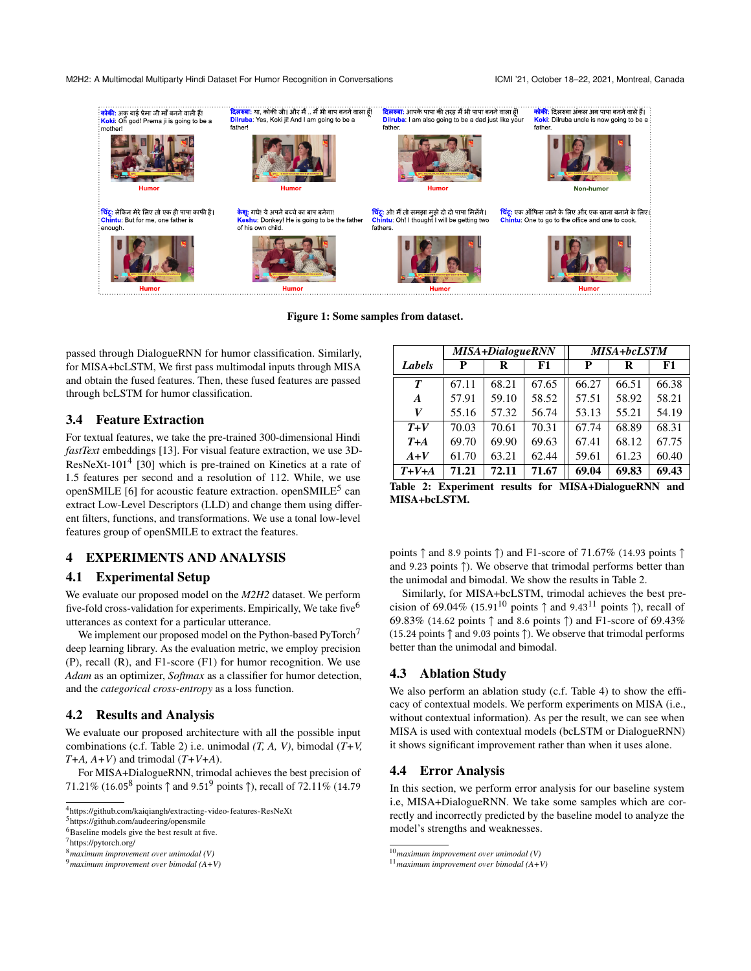#### M2H2: A Multimodal Multiparty Hindi Dataset For Humor Recognition in Conversations ICMI '21, October 18-22, 2021, Montreal, Canada

<span id="page-2-0"></span>

Figure 1: Some samples from dataset.

passed through DialogueRNN for humor classification. Similarly, for MISA+bcLSTM, We first pass multimodal inputs through MISA and obtain the fused features. Then, these fused features are passed through bcLSTM for humor classification.

#### 3.4 Feature Extraction

For textual features, we take the pre-trained 300-dimensional Hindi *fastText* embeddings [\[13\]](#page-4-29). For visual feature extraction, we use 3D-ResNeXt-101<sup>[4](#page-2-1)</sup> [\[30\]](#page-4-30) which is pre-trained on Kinetics at a rate of 1.5 features per second and a resolution of 112. While, we use openSMILE [\[6\]](#page-4-31) for acoustic feature extraction. openSMILE<sup>[5](#page-2-2)</sup> can extract Low-Level Descriptors (LLD) and change them using different filters, functions, and transformations. We use a tonal low-level features group of openSMILE to extract the features.

## 4 EXPERIMENTS AND ANALYSIS

#### 4.1 Experimental Setup

We evaluate our proposed model on the *M2H2* dataset. We perform five-fold cross-validation for experiments. Empirically, We take five<sup>[6](#page-2-3)</sup> utterances as context for a particular utterance.

We implement our proposed model on the Python-based PyTorch<sup>[7](#page-2-4)</sup> deep learning library. As the evaluation metric, we employ precision (P), recall (R), and F1-score (F1) for humor recognition. We use *Adam* as an optimizer, *Softmax* as a classifier for humor detection, and the *categorical cross-entropy* as a loss function.

### 4.2 Results and Analysis

We evaluate our proposed architecture with all the possible input combinations (c.f. Table [2\)](#page-2-5) i.e. unimodal *(T, A, V)*, bimodal (*T+V, T+A, A+V*) and trimodal (*T+V+A*).

For MISA+DialogueRNN, trimodal achieves the best precision of 71.21% (16.05<sup>[8](#page-2-6)</sup> points  $\uparrow$  and [9](#page-2-7).51<sup>9</sup> points  $\uparrow$ ), recall of 72.11% (14.79

<span id="page-2-2"></span>5 <https://github.com/audeering/opensmile>

<span id="page-2-5"></span>

|                  | <b>MISA+DialogueRNN</b> |       | <b>MISA+bcLSTM</b> |       |       |       |
|------------------|-------------------------|-------|--------------------|-------|-------|-------|
| Labels           | P                       | R     | F1                 | P     | R     | F1    |
| $\boldsymbol{T}$ | 67.11                   | 68.21 | 67.65              | 66.27 | 66.51 | 66.38 |
| A                | 57.91                   | 59.10 | 58.52              | 57.51 | 58.92 | 58.21 |
| V                | 55.16                   | 57.32 | 56.74              | 53.13 | 55.21 | 54.19 |
| $T+V$            | 70.03                   | 70.61 | 70.31              | 67.74 | 68.89 | 68.31 |
| $T+A$            | 69.70                   | 69.90 | 69.63              | 67.41 | 68.12 | 67.75 |
| $A+V$            | 61.70                   | 63.21 | 62.44              | 59.61 | 61.23 | 60.40 |
| $T+V+A$          | 71.21                   | 72.11 | 71.67              | 69.04 | 69.83 | 69.43 |

Table 2: Experiment results for MISA+DialogueRNN and MISA+bcLSTM.

points ↑ and 8.9 points ↑) and F1-score of 71.67% (14.93 points ↑ and 9.23 points ↑). We observe that trimodal performs better than the unimodal and bimodal. We show the results in Table [2.](#page-2-5)

Similarly, for MISA+bcLSTM, trimodal achieves the best pre-cision of 69.04% (15.91<sup>[10](#page-2-8)</sup> points  $\uparrow$  and 9.43<sup>[11](#page-2-9)</sup> points  $\uparrow$ ), recall of 69.83% (14.62 points ↑ and 8.6 points ↑) and F1-score of 69.43% (15.24 points ↑ and 9.03 points ↑). We observe that trimodal performs better than the unimodal and bimodal.

# 4.3 Ablation Study

We also perform an ablation study (c.f. Table [4\)](#page-3-0) to show the efficacy of contextual models. We perform experiments on MISA (i.e., without contextual information). As per the result, we can see when MISA is used with contextual models (bcLSTM or DialogueRNN) it shows significant improvement rather than when it uses alone.

#### 4.4 Error Analysis

In this section, we perform error analysis for our baseline system i.e, MISA+DialogueRNN. We take some samples which are correctly and incorrectly predicted by the baseline model to analyze the model's strengths and weaknesses.

<span id="page-2-1"></span><sup>4</sup> <https://github.com/kaiqiangh/extracting-video-features-ResNeXt>

<span id="page-2-3"></span><sup>&</sup>lt;sup>6</sup>Baseline models give the best result at five.

<span id="page-2-4"></span><sup>7</sup> <https://pytorch.org/>

<span id="page-2-6"></span><sup>8</sup>*maximum improvement over unimodal (V)*

<span id="page-2-7"></span><sup>9</sup>*maximum improvement over bimodal (A+V)*

<span id="page-2-8"></span><sup>10</sup>*maximum improvement over unimodal (V)*

<span id="page-2-9"></span><sup>11</sup>*maximum improvement over bimodal (A+V)*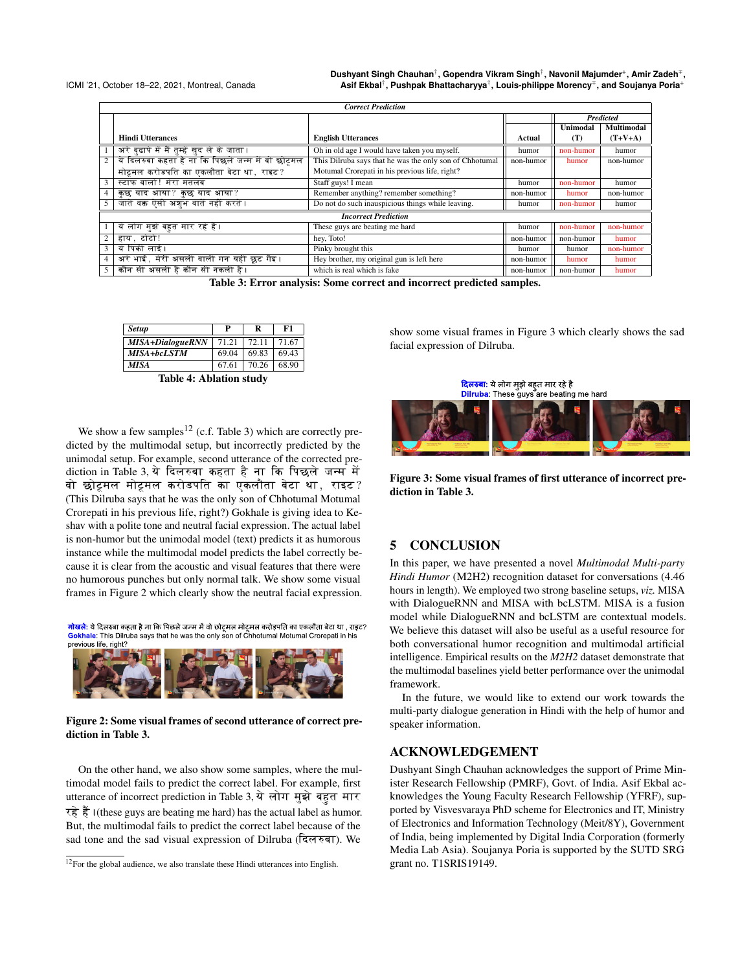<span id="page-3-2"></span>ICMI '21, October 18–22, 2021, Montreal, Canada

**Dushyant Singh Chauhan**† **, Gopendra Vikram Singh**† **, Navonil Majumder**<sup>+</sup> **, Amir Zadeh**<sup>∓</sup> **, Asif Ekbal**† **, Pushpak Bhattacharyya**† **, Louis-philippe Morency**<sup>∓</sup> **, and Soujanya Poria**<sup>+</sup>

|                | <b>Correct Prediction</b>                          |                                                         |           |           |            |
|----------------|----------------------------------------------------|---------------------------------------------------------|-----------|-----------|------------|
|                |                                                    |                                                         |           |           | Predicted  |
|                |                                                    |                                                         |           | Unimodal  | Multimodal |
|                | <b>Hindi Utterances</b>                            | <b>English Utterances</b>                               | Actual    | (T)       | $(T+V+A)$  |
|                | अरे बुढापे में मैं तुम्हें खुद ले के जाता ।        | Oh in old age I would have taken you myself.            | humor     | non-humor | humor      |
| $\overline{2}$ | ये दिलरुबा कहता है ना कि पिछले जन्म में वो छोट्टमल | This Dilruba says that he was the only son of Chhotumal | non-humor | humor     | non-humor  |
|                | मोटूमल करोडपति का एकलौता बेटा था, राइट?            | Motumal Crorepati in his previous life, right?          |           |           |            |
| $\overline{3}$ | स्टाफ वालों! मेरा मतलब                             | Staff guys! I mean                                      | humor     | non-humor | humor      |
| $\overline{4}$ | कुछ याद आया? कुछ याद आया?                          | Remember anything? remember something?                  | non-humor | humor     | non-humor  |
| 5              | जाते वक्त ऐसी अश्रभ बातें नहीं करते ।              | Do not do such inauspicious things while leaving.       | humor     | non-humor | humor      |
|                | <b>Incorrect Prediction</b>                        |                                                         |           |           |            |
|                | ये लोग मुझे बहत मार रहे हैं।                       | These guys are beating me hard                          | humor     | non-humor | non-humor  |
| $\overline{2}$ | हाय .टोटो!                                         | hey, Toto!                                              | non-humor | non-humor | humor      |
| $\overline{3}$ | ये पिंकी लाई।                                      | Pinky brought this                                      | humor     | humor     | non-humor  |
| $\overline{4}$ | अरे भाई, मेरी असली वाली गन यहीं छुट गैइ।           | Hey brother, my original gun is left here               | non-humor | humor     | humor      |
| 5 <sup>1</sup> | कौन सी असली है कौन सी नकली है ।                    | which is real which is fake                             | non-humor | non-humor | humor      |

Table 3: Error analysis: Some correct and incorrect predicted samples.

<span id="page-3-0"></span>

| <b>Setup</b>     | P     | R     | F1    |
|------------------|-------|-------|-------|
| MISA+DialogueRNN | 71.21 | 72.11 | 71.67 |
| MISA+bcLSTM      | 69.04 | 69.83 | 69.43 |
| <b>MISA</b>      | 67.61 | 70.26 | 68.90 |
|                  |       |       |       |

Table 4: Ablation study

We show a few samples<sup>[12](#page-3-1)</sup> (c.f. Table [3\)](#page-3-2) which are correctly predicted by the multimodal setup, but incorrectly predicted by the unimodal setup. For example, second utterance of the corrected pre-diction in Table [3,](#page-3-2) ये दिलरुबा कहता है ना कि पिछले जन्म में वो छोट्रमल मोट्रमल करोडपति का एकलौता बेटा था, राइट? (This Dilruba says that he was the only son of Chhotumal Motumal Crorepati in his previous life, right?) Gokhale is giving idea to Keshav with a polite tone and neutral facial expression. The actual label is non-humor but the unimodal model (text) predicts it as humorous instance while the multimodal model predicts the label correctly because it is clear from the acoustic and visual features that there were no humorous punches but only normal talk. We show some visual frames in Figure [2](#page-3-3) which clearly show the neutral facial expression.

<span id="page-3-3"></span><mark>गोखले</mark>: ये दिलरुबा कहता है ना कि पिछले जन्म में वो छोट्रमल मोट्रमल करोड़पति का एकलौता बेटा था , राइट? Gokhale: This Dilruba says that he was the only son of Chhotumal Motumal Crorepati in his previous life, right?



Figure 2: Some visual frames of second utterance of correct prediction in Table [3.](#page-3-2)

On the other hand, we also show some samples, where the multimodal model fails to predict the correct label. For example, first utterance of incorrect prediction in Table [3,](#page-3-2) ये लोग मुझे बहत मार रहे हैं। (these guys are beating me hard) has the actual label as humor. But, the multimodal fails to predict the correct label because of the sad tone and the sad visual expression of Dilruba (दिलरुबा). We

show some visual frames in Figure [3](#page-3-4) which clearly shows the sad facial expression of Dilruba.

<span id="page-3-4"></span>

Figure 3: Some visual frames of first utterance of incorrect prediction in Table [3.](#page-3-2)

# 5 CONCLUSION

In this paper, we have presented a novel *Multimodal Multi-party Hindi Humor* (M2H2) recognition dataset for conversations (4.46 hours in length). We employed two strong baseline setups, *viz.* MISA with DialogueRNN and MISA with bcLSTM. MISA is a fusion model while DialogueRNN and bcLSTM are contextual models. We believe this dataset will also be useful as a useful resource for both conversational humor recognition and multimodal artificial intelligence. Empirical results on the *M2H2* dataset demonstrate that the multimodal baselines yield better performance over the unimodal framework.

In the future, we would like to extend our work towards the multi-party dialogue generation in Hindi with the help of humor and speaker information.

## ACKNOWLEDGEMENT

Dushyant Singh Chauhan acknowledges the support of Prime Minister Research Fellowship (PMRF), Govt. of India. Asif Ekbal acknowledges the Young Faculty Research Fellowship (YFRF), supported by Visvesvaraya PhD scheme for Electronics and IT, Ministry of Electronics and Information Technology (Meit/8Y), Government of India, being implemented by Digital India Corporation (formerly Media Lab Asia). Soujanya Poria is supported by the SUTD SRG grant no. T1SRIS19149.

<span id="page-3-1"></span><sup>&</sup>lt;sup>12</sup>For the global audience, we also translate these Hindi utterances into English.